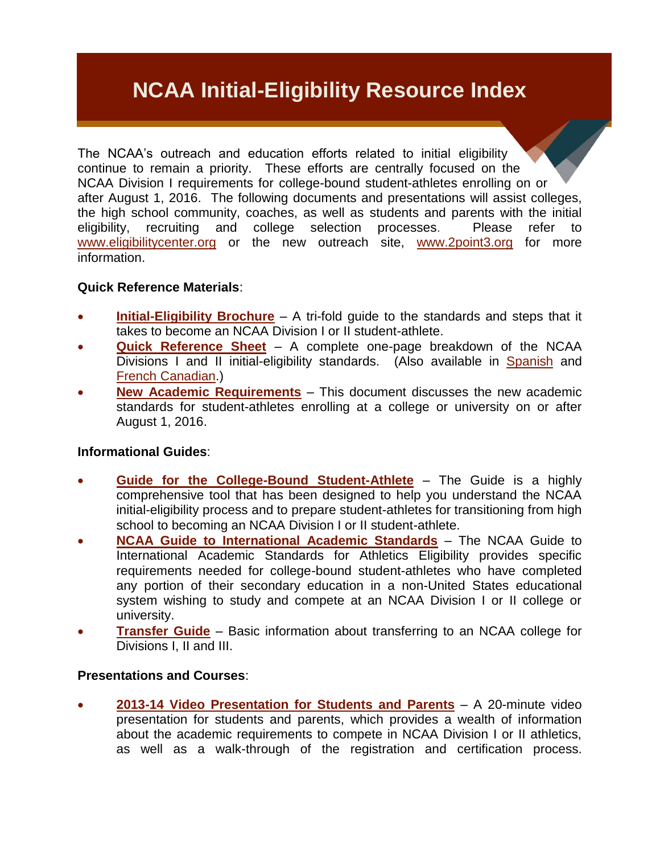# **NCAA Initial-Eligibility Resource Index**

The NCAA's outreach and education efforts related to initial eligibility continue to remain a priority. These efforts are centrally focused on the NCAA Division I requirements for college-bound student-athletes enrolling on or after August 1, 2016. The following documents and presentations will assist colleges, the high school community, coaches, as well as students and parents with the initial eligibility, recruiting and college selection processes. Please refer to [www.eligibilitycenter.org](http://www.eligibilitycenter.org/) or the new outreach site, [www.2point3.org](http://www.2point3.org/) for more information.

## **Quick Reference Materials**:

- **[Initial-Eligibility Brochure](http://www.ncaapublications.com/p-4098-2013-ncaa-initial-eligibility-brochure-road-map-to-initial-eligibility.aspx)** A tri-fold guide to the standards and steps that it takes to become an NCAA Division I or II student-athlete.
- **[Quick Reference Sheet](http://fs.ncaa.org/Docs/eligibility_center/Quick_Reference_Sheet.pdf)** A complete one-page breakdown of the NCAA Divisions I and II initial-eligibility standards. (Also available in [Spanish](http://fs.ncaa.org/Docs/eligibility_center/Quick_Reference_Sheet_Spanish.pdf) and [French](http://fs.ncaa.org/Docs/eligibility_center/Quick_Reference_Sheet_FrenchCA.pdf) Canadian.)
- **[New Academic Requirements](http://fs.ncaa.org/Docs/eligibility_center/Important_New_Rules/2016_DI_New_Academic_Requirements.pdf)** This document discusses the new academic standards for student-athletes enrolling at a college or university on or after August 1, 2016.

## **Informational Guides**:

- **[Guide for the College-Bound Student-Athlete](http://ncaapublications.com/p-4236-2013-14-ncaa-guide-for-the-college-bound-student-athlete-sold-as-a-packages-of-25-due-summer-2013.aspx)** The Guide is a highly comprehensive tool that has been designed to help you understand the NCAA initial-eligibility process and to prepare student-athletes for transitioning from high school to becoming an NCAA Division I or II student-athlete.
- **[NCAA Guide to International Academic Standards](http://www.ncaapublications.com/p-4326-international-standards-2013-14-guide-to-international-academic-standards-for-athletics-eligibility-updated-july-2013.aspx?CategoryID=0&SectionID=0&ManufacturerID=0&DistributorID=0&GenreID=0&VectorID=0&)** The NCAA Guide to International Academic Standards for Athletics Eligibility provides specific requirements needed for college-bound student-athletes who have completed any portion of their secondary education in a non-United States educational system wishing to study and compete at an NCAA Division I or II college or university.
- **[Transfer Guide](https://www.ncaapublications.com/p-4288-ncaa-transfer-guide-2012-13.aspx)** Basic information about transferring to an NCAA college for Divisions I, II and III.

## **Presentations and Courses**:

 **2013-14 Video [Presentation for Students](http://fs.ncaa.org/Docs/eligibility_center/Student_Resources/Path_to_the_Student-Athlete_Experience_for_PSA.mp4) and Parents** – A 20-minute video presentation for students and parents, which provides a wealth of information about the academic requirements to compete in NCAA Division I or II athletics, as well as a walk-through of the registration and certification process.